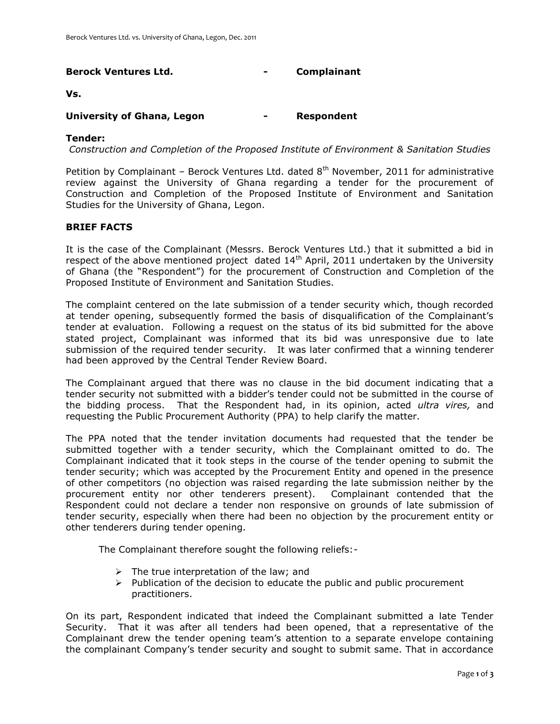# **Berock Ventures Ltd. - Complainant**

#### **Vs.**

## **University of Ghana, Legon - Respondent**

#### **Tender:**

*Construction and Completion of the Proposed Institute of Environment & Sanitation Studies*

Petition by Complainant – Berock Ventures Ltd. dated  $8<sup>th</sup>$  November, 2011 for administrative review against the University of Ghana regarding a tender for the procurement of Construction and Completion of the Proposed Institute of Environment and Sanitation Studies for the University of Ghana, Legon.

## **BRIEF FACTS**

It is the case of the Complainant (Messrs. Berock Ventures Ltd.) that it submitted a bid in respect of the above mentioned project dated 14<sup>th</sup> April, 2011 undertaken by the University of Ghana (the "Respondent") for the procurement of Construction and Completion of the Proposed Institute of Environment and Sanitation Studies.

The complaint centered on the late submission of a tender security which, though recorded at tender opening, subsequently formed the basis of disqualification of the Complainant's tender at evaluation. Following a request on the status of its bid submitted for the above stated project, Complainant was informed that its bid was unresponsive due to late submission of the required tender security. It was later confirmed that a winning tenderer had been approved by the Central Tender Review Board.

The Complainant argued that there was no clause in the bid document indicating that a tender security not submitted with a bidder's tender could not be submitted in the course of the bidding process. That the Respondent had, in its opinion, acted *ultra vires,* and requesting the Public Procurement Authority (PPA) to help clarify the matter.

The PPA noted that the tender invitation documents had requested that the tender be submitted together with a tender security, which the Complainant omitted to do. The Complainant indicated that it took steps in the course of the tender opening to submit the tender security; which was accepted by the Procurement Entity and opened in the presence of other competitors (no objection was raised regarding the late submission neither by the procurement entity nor other tenderers present). Complainant contended that the Respondent could not declare a tender non responsive on grounds of late submission of tender security, especially when there had been no objection by the procurement entity or other tenderers during tender opening.

The Complainant therefore sought the following reliefs:-

- $\triangleright$  The true interpretation of the law; and
- $\triangleright$  Publication of the decision to educate the public and public procurement practitioners.

On its part, Respondent indicated that indeed the Complainant submitted a late Tender Security. That it was after all tenders had been opened, that a representative of the Complainant drew the tender opening team's attention to a separate envelope containing the complainant Company's tender security and sought to submit same. That in accordance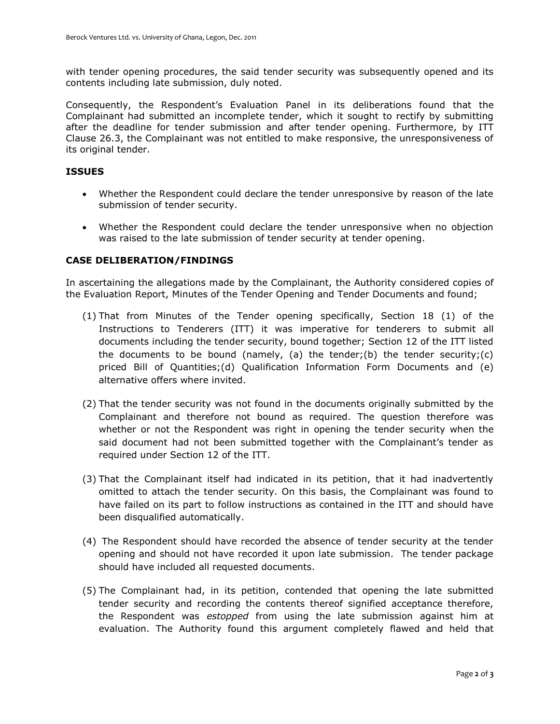with tender opening procedures, the said tender security was subsequently opened and its contents including late submission, duly noted.

Consequently, the Respondent's Evaluation Panel in its deliberations found that the Complainant had submitted an incomplete tender, which it sought to rectify by submitting after the deadline for tender submission and after tender opening. Furthermore, by ITT Clause 26.3, the Complainant was not entitled to make responsive, the unresponsiveness of its original tender.

## **ISSUES**

- Whether the Respondent could declare the tender unresponsive by reason of the late submission of tender security.
- Whether the Respondent could declare the tender unresponsive when no objection was raised to the late submission of tender security at tender opening.

#### **CASE DELIBERATION/FINDINGS**

In ascertaining the allegations made by the Complainant, the Authority considered copies of the Evaluation Report, Minutes of the Tender Opening and Tender Documents and found;

- (1) That from Minutes of the Tender opening specifically, Section 18 (1) of the Instructions to Tenderers (ITT) it was imperative for tenderers to submit all documents including the tender security, bound together; Section 12 of the ITT listed the documents to be bound (namely, (a) the tender;(b) the tender security;(c) priced Bill of Quantities;(d) Qualification Information Form Documents and (e) alternative offers where invited.
- (2) That the tender security was not found in the documents originally submitted by the Complainant and therefore not bound as required. The question therefore was whether or not the Respondent was right in opening the tender security when the said document had not been submitted together with the Complainant's tender as required under Section 12 of the ITT.
- (3) That the Complainant itself had indicated in its petition, that it had inadvertently omitted to attach the tender security. On this basis, the Complainant was found to have failed on its part to follow instructions as contained in the ITT and should have been disqualified automatically.
- (4) The Respondent should have recorded the absence of tender security at the tender opening and should not have recorded it upon late submission. The tender package should have included all requested documents.
- (5) The Complainant had, in its petition, contended that opening the late submitted tender security and recording the contents thereof signified acceptance therefore, the Respondent was *estopped* from using the late submission against him at evaluation. The Authority found this argument completely flawed and held that